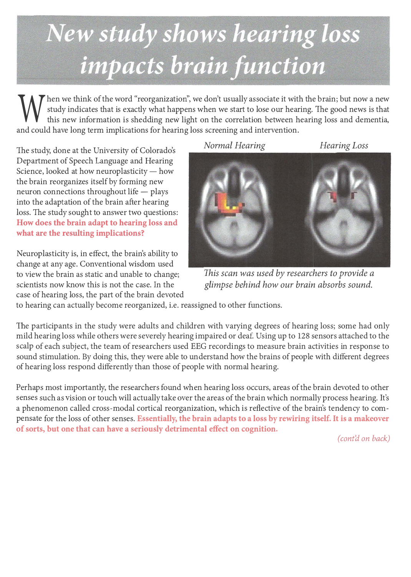## New study shows hearing loss impacts brain function

W hen we think of the word "reorganization", we don't usually associate it with the brain; but now a new study indicates that is exactly what happens when we start to lose our hearing. The good news is that this new inform study indicates that is exactly what happens when we start to lose our hearing. The good news is that this new information is shedding new light on the correlation between hearing loss and dementia, and could have long term implications for hearing loss screening and intervention.

The study, done at the University of Colorado's Department of Speech Language and Hearing Science, looked at how neuroplasticity  $-$  how the brain reorganizes itself by forming new neuron connections throughout life  $-$  plays into the adaptation of the brain after hearing loss. The study sought to answer two questions: **How does the brain adapt to hearing loss and what are the resulting implications?** 

Neuroplasticity is, in effect, the brain's ability to change at any age. Conventional wisdom used to view the brain as static and unable to change; scientists now know this is not the case. In the case of hearing loss, the part of the brain devoted



*This scan was used by researchers to provide a glimpse behind how our brain absorbs sound.* 

to hearing can actually become reorganized, i.e. reassigned to other functions.

The participants in the study were adults and children with varying degrees of hearing loss; some had only mild hearing loss while others were severely hearing impaired or deaf. Using up to 128 sensors attached to the scalp of each subject, the team of researchers used EEG recordings to measure brain activities in response to sound stimulation. By doing this, they were able to understand how the brains of people with different degrees of hearing loss respond differently than those of people with normal hearing.

Perhaps most importantly, the researchers found when hearing loss occurs, areas of the brain devoted to other senses such as vision or touch will actually take over the areas of the brain which normally process hearing. It's a phenomenon called cross-modal cortical reorganization, which is reflective of the brain's tendency to compensate for the loss of other senses. **Essentially, the brain adapts to a loss by rewiring itself.** It **is a makeover of sorts, but one that can have a seriously detrimental effect on cognition.** 

*( cont'd on back)*